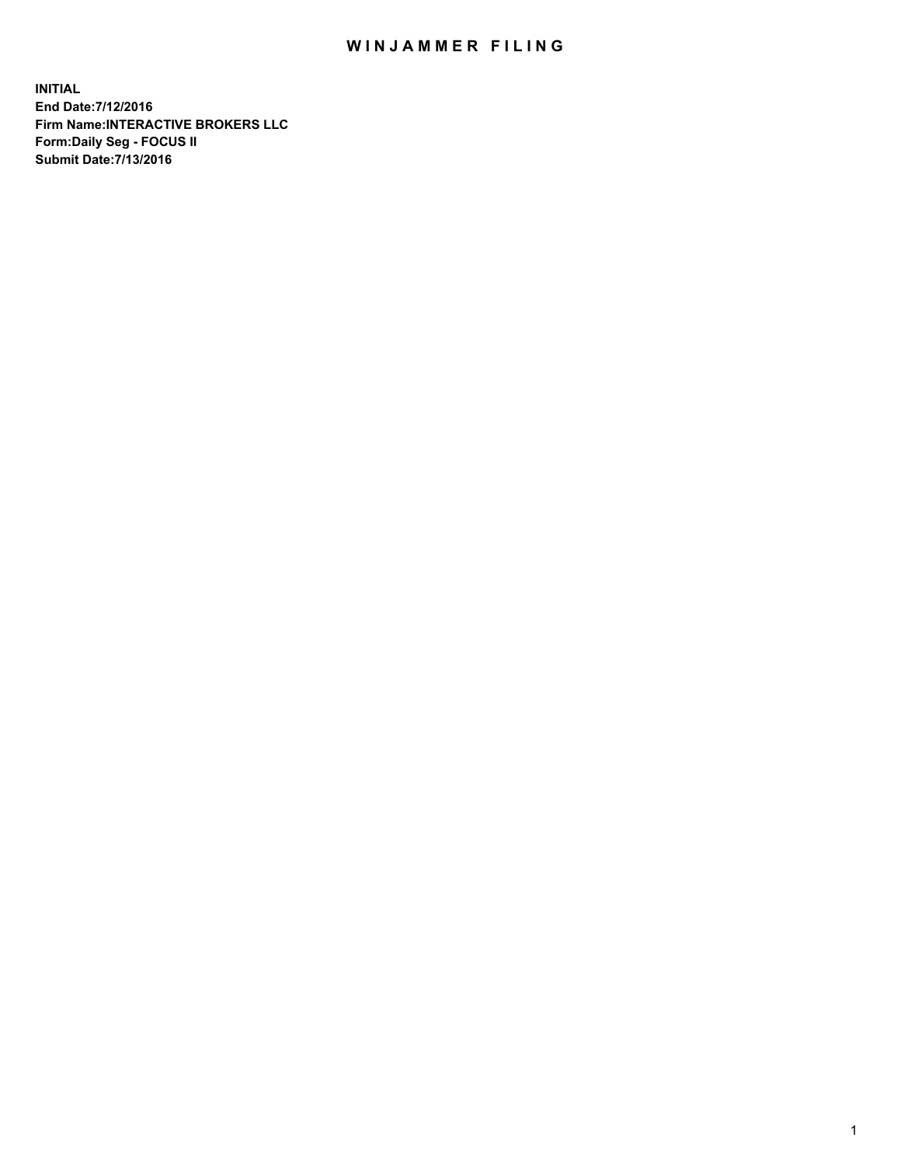## WIN JAMMER FILING

**INITIAL End Date:7/12/2016 Firm Name:INTERACTIVE BROKERS LLC Form:Daily Seg - FOCUS II Submit Date:7/13/2016**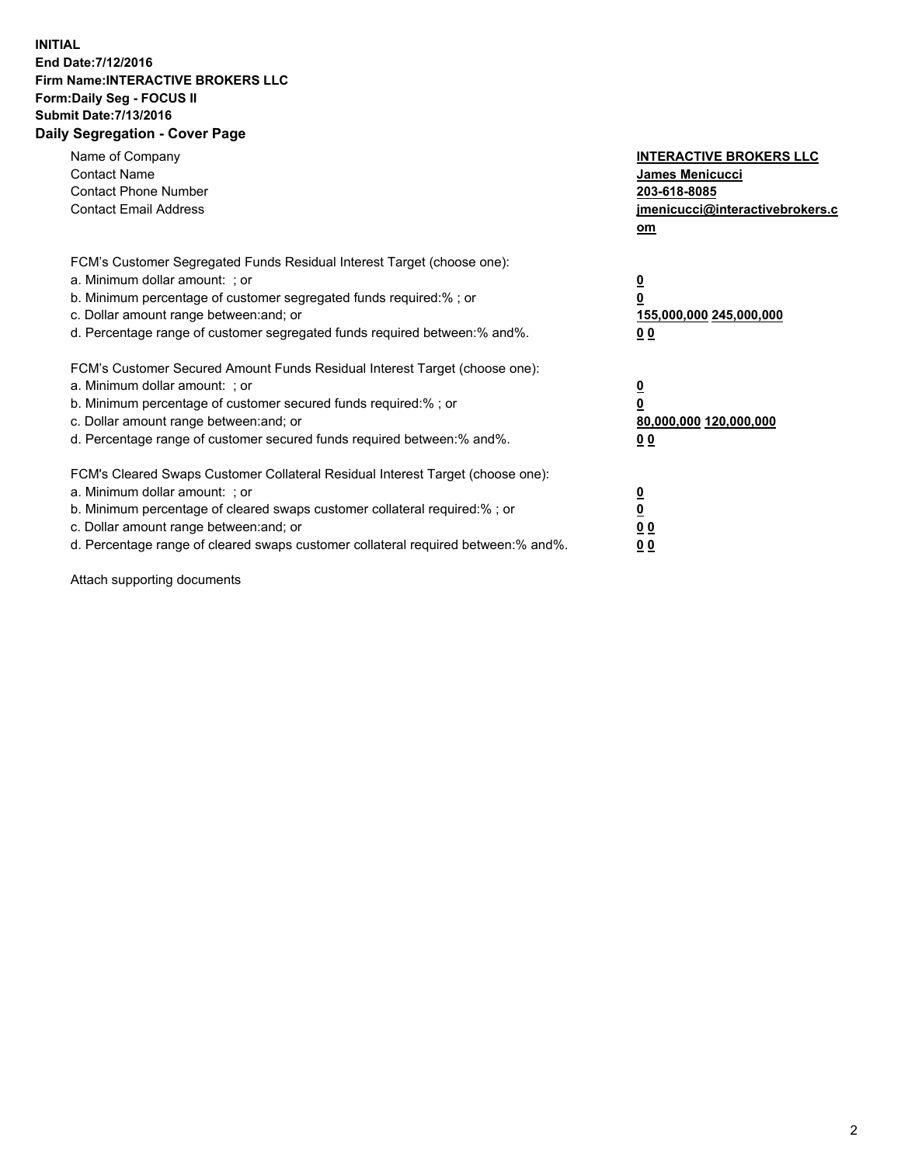## **INITIAL End Date:7/12/2016 Firm Name:INTERACTIVE BROKERS LLC Form:Daily Seg - FOCUS II Submit Date:7/13/2016 Daily Segregation - Cover Page**

| Name of Company<br><b>Contact Name</b><br><b>Contact Phone Number</b><br><b>Contact Email Address</b>                                                                                                                                                                                                                          | <b>INTERACTIVE BROKERS LLC</b><br>James Menicucci<br>203-618-8085<br>jmenicucci@interactivebrokers.c<br>om |
|--------------------------------------------------------------------------------------------------------------------------------------------------------------------------------------------------------------------------------------------------------------------------------------------------------------------------------|------------------------------------------------------------------------------------------------------------|
| FCM's Customer Segregated Funds Residual Interest Target (choose one):<br>a. Minimum dollar amount: ; or<br>b. Minimum percentage of customer segregated funds required:%; or<br>c. Dollar amount range between: and; or<br>d. Percentage range of customer segregated funds required between:% and%.                          | $\overline{\mathbf{0}}$<br>0<br>155,000,000 245,000,000<br>0 <sub>0</sub>                                  |
| FCM's Customer Secured Amount Funds Residual Interest Target (choose one):<br>a. Minimum dollar amount: ; or<br>b. Minimum percentage of customer secured funds required:%; or<br>c. Dollar amount range between: and; or<br>d. Percentage range of customer secured funds required between:% and%.                            | $\overline{\mathbf{0}}$<br>$\overline{\mathbf{0}}$<br>80,000,000 120,000,000<br>00                         |
| FCM's Cleared Swaps Customer Collateral Residual Interest Target (choose one):<br>a. Minimum dollar amount: ; or<br>b. Minimum percentage of cleared swaps customer collateral required:% ; or<br>c. Dollar amount range between: and; or<br>d. Percentage range of cleared swaps customer collateral required between:% and%. | $\overline{\mathbf{0}}$<br>$\overline{\mathbf{0}}$<br>0 <sub>0</sub><br><u>00</u>                          |

Attach supporting documents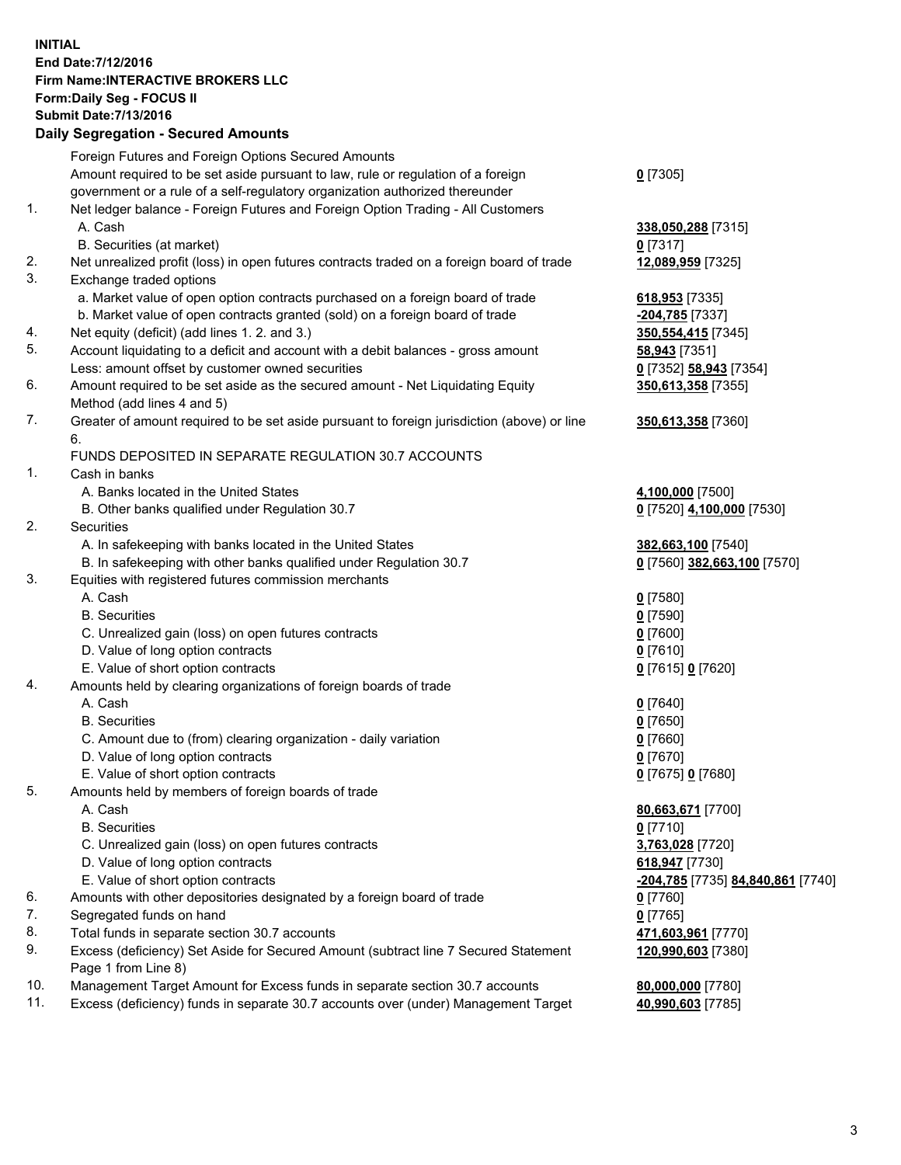## **INITIAL End Date:7/12/2016 Firm Name:INTERACTIVE BROKERS LLC Form:Daily Seg - FOCUS II Submit Date:7/13/2016 Daily Segregation - Secured Amounts**

|     | Daily Ocglegation - Occured Aniounts                                                        |                                   |
|-----|---------------------------------------------------------------------------------------------|-----------------------------------|
|     | Foreign Futures and Foreign Options Secured Amounts                                         |                                   |
|     | Amount required to be set aside pursuant to law, rule or regulation of a foreign            | $0$ [7305]                        |
|     | government or a rule of a self-regulatory organization authorized thereunder                |                                   |
| 1.  | Net ledger balance - Foreign Futures and Foreign Option Trading - All Customers             |                                   |
|     | A. Cash                                                                                     | 338,050,288 [7315]                |
|     | B. Securities (at market)                                                                   | $0$ [7317]                        |
| 2.  | Net unrealized profit (loss) in open futures contracts traded on a foreign board of trade   | 12,089,959 [7325]                 |
| 3.  | Exchange traded options                                                                     |                                   |
|     | a. Market value of open option contracts purchased on a foreign board of trade              | 618,953 [7335]                    |
|     | b. Market value of open contracts granted (sold) on a foreign board of trade                | -204,785 [7337]                   |
| 4.  | Net equity (deficit) (add lines 1.2. and 3.)                                                | 350, 554, 415 [7345]              |
| 5.  | Account liquidating to a deficit and account with a debit balances - gross amount           | <b>58,943</b> [7351]              |
|     | Less: amount offset by customer owned securities                                            | 0 [7352] 58,943 [7354]            |
| 6.  | Amount required to be set aside as the secured amount - Net Liquidating Equity              | 350,613,358 [7355]                |
|     | Method (add lines 4 and 5)                                                                  |                                   |
| 7.  | Greater of amount required to be set aside pursuant to foreign jurisdiction (above) or line | 350,613,358 [7360]                |
|     | 6.                                                                                          |                                   |
|     | FUNDS DEPOSITED IN SEPARATE REGULATION 30.7 ACCOUNTS                                        |                                   |
| 1.  | Cash in banks                                                                               |                                   |
|     | A. Banks located in the United States                                                       | 4,100,000 [7500]                  |
|     | B. Other banks qualified under Regulation 30.7                                              | 0 [7520] 4,100,000 [7530]         |
| 2.  | <b>Securities</b>                                                                           |                                   |
|     | A. In safekeeping with banks located in the United States                                   | 382,663,100 [7540]                |
|     | B. In safekeeping with other banks qualified under Regulation 30.7                          | 0 [7560] 382,663,100 [7570]       |
| 3.  | Equities with registered futures commission merchants                                       |                                   |
|     | A. Cash                                                                                     | $0$ [7580]                        |
|     | <b>B.</b> Securities                                                                        | $0$ [7590]                        |
|     | C. Unrealized gain (loss) on open futures contracts                                         | $0$ [7600]                        |
|     | D. Value of long option contracts                                                           | $0$ [7610]                        |
|     | E. Value of short option contracts                                                          | 0 [7615] 0 [7620]                 |
| 4.  | Amounts held by clearing organizations of foreign boards of trade                           |                                   |
|     | A. Cash                                                                                     |                                   |
|     | <b>B.</b> Securities                                                                        | $0$ [7640]                        |
|     |                                                                                             | $0$ [7650]                        |
|     | C. Amount due to (from) clearing organization - daily variation                             | $0$ [7660]                        |
|     | D. Value of long option contracts                                                           | $0$ [7670]                        |
|     | E. Value of short option contracts                                                          | 0 [7675] 0 [7680]                 |
| 5.  | Amounts held by members of foreign boards of trade                                          |                                   |
|     | A. Cash                                                                                     | 80,663,671 [7700]                 |
|     | <b>B.</b> Securities                                                                        | $0$ [7710]                        |
|     | C. Unrealized gain (loss) on open futures contracts                                         | 3,763,028 [7720]                  |
|     | D. Value of long option contracts                                                           | 618,947 [7730]                    |
|     | E. Value of short option contracts                                                          | -204,785 [7735] 84,840,861 [7740] |
| 6.  | Amounts with other depositories designated by a foreign board of trade                      | <u>0</u> [7760]                   |
| 7.  | Segregated funds on hand                                                                    | $0$ [7765]                        |
| 8.  | Total funds in separate section 30.7 accounts                                               | 471,603,961 [7770]                |
| 9.  | Excess (deficiency) Set Aside for Secured Amount (subtract line 7 Secured Statement         | 120,990,603 [7380]                |
|     | Page 1 from Line 8)                                                                         |                                   |
| 10. | Management Target Amount for Excess funds in separate section 30.7 accounts                 | 80,000,000 [7780]                 |
| 11. | Excess (deficiency) funds in separate 30.7 accounts over (under) Management Target          | 40,990,603 [7785]                 |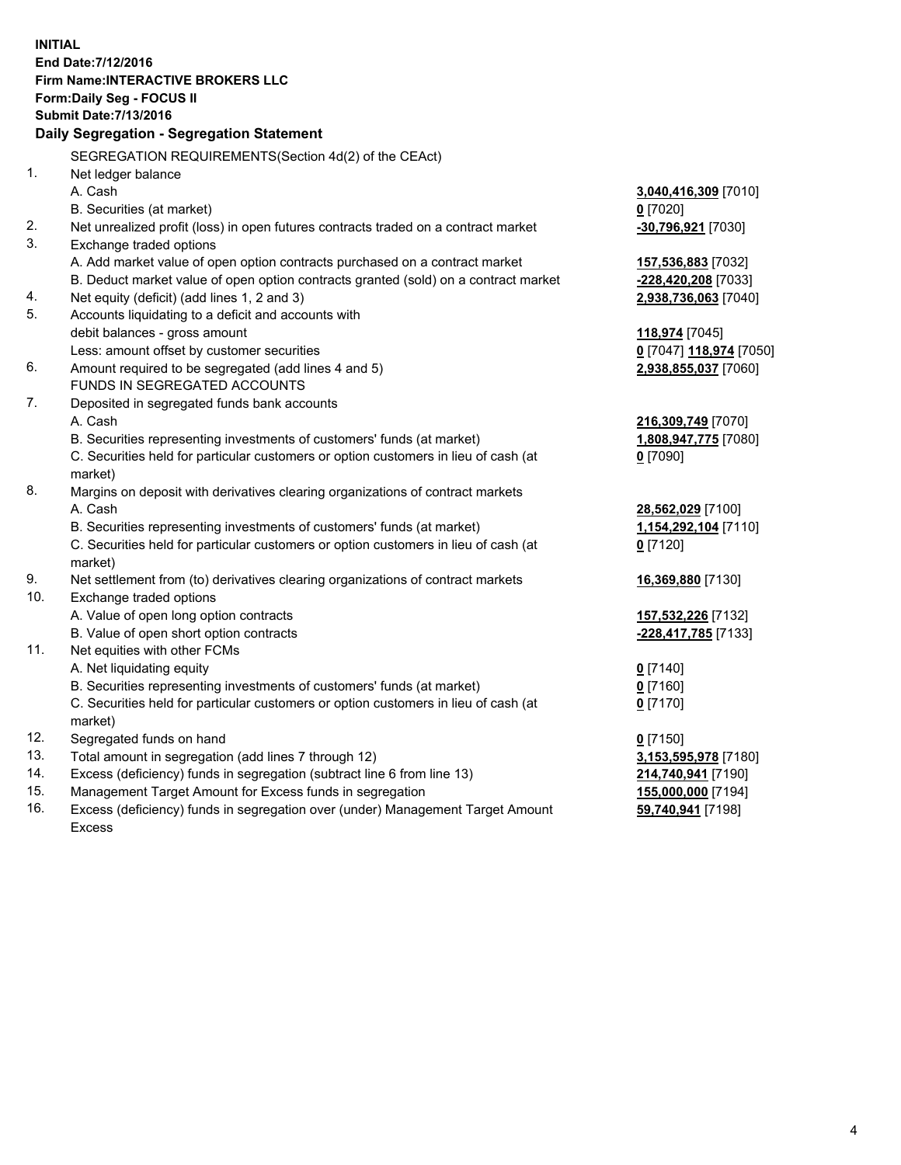**INITIAL End Date:7/12/2016 Firm Name:INTERACTIVE BROKERS LLC Form:Daily Seg - FOCUS II Submit Date:7/13/2016 Daily Segregation - Segregation Statement** SEGREGATION REQUIREMENTS(Section 4d(2) of the CEAct) 1. Net ledger balance A. Cash **3,040,416,309** [7010] B. Securities (at market) **0** [7020] 2. Net unrealized profit (loss) in open futures contracts traded on a contract market **-30,796,921** [7030] 3. Exchange traded options A. Add market value of open option contracts purchased on a contract market **157,536,883** [7032] B. Deduct market value of open option contracts granted (sold) on a contract market **-228,420,208** [7033] 4. Net equity (deficit) (add lines 1, 2 and 3) **2,938,736,063** [7040] 5. Accounts liquidating to a deficit and accounts with debit balances - gross amount **118,974** [7045] Less: amount offset by customer securities **0** [7047] **118,974** [7050] 6. Amount required to be segregated (add lines 4 and 5) **2,938,855,037** [7060] FUNDS IN SEGREGATED ACCOUNTS 7. Deposited in segregated funds bank accounts A. Cash **216,309,749** [7070] B. Securities representing investments of customers' funds (at market) **1,808,947,775** [7080] C. Securities held for particular customers or option customers in lieu of cash (at market) **0** [7090] 8. Margins on deposit with derivatives clearing organizations of contract markets A. Cash **28,562,029** [7100] B. Securities representing investments of customers' funds (at market) **1,154,292,104** [7110] C. Securities held for particular customers or option customers in lieu of cash (at market) **0** [7120] 9. Net settlement from (to) derivatives clearing organizations of contract markets **16,369,880** [7130] 10. Exchange traded options A. Value of open long option contracts **157,532,226** [7132] B. Value of open short option contracts **-228,417,785** [7133] 11. Net equities with other FCMs A. Net liquidating equity **0** [7140] B. Securities representing investments of customers' funds (at market) **0** [7160] C. Securities held for particular customers or option customers in lieu of cash (at market) **0** [7170] 12. Segregated funds on hand **0** [7150] 13. Total amount in segregation (add lines 7 through 12) **3,153,595,978** [7180] 14. Excess (deficiency) funds in segregation (subtract line 6 from line 13) **214,740,941** [7190] 15. Management Target Amount for Excess funds in segregation **155,000,000** [7194] **59,740,941** [7198]

16. Excess (deficiency) funds in segregation over (under) Management Target Amount Excess